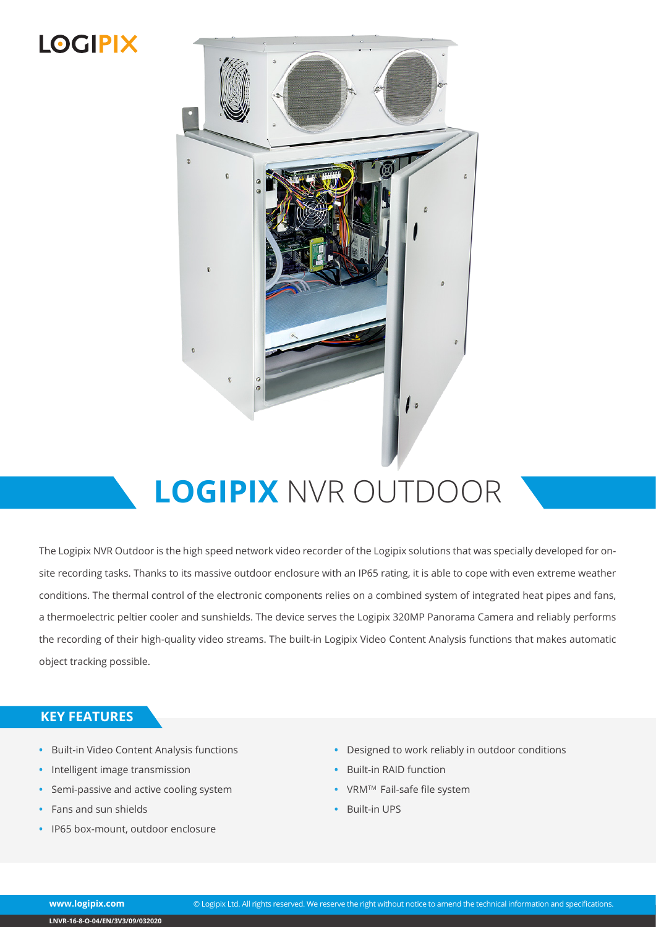## **LOGIPIX**



# **LOGIPIX** NVR OUTDOOR

The Logipix NVR Outdoor is the high speed network video recorder of the Logipix solutions that was specially developed for onsite recording tasks. Thanks to its massive outdoor enclosure with an IP65 rating, it is able to cope with even extreme weather conditions. The thermal control of the electronic components relies on a combined system of integrated heat pipes and fans, a thermoelectric peltier cooler and sunshields. The device serves the Logipix 320MP Panorama Camera and reliably performs the recording of their high-quality video streams. The built-in Logipix Video Content Analysis functions that makes automatic object tracking possible.

#### **KEY FEATURES**

- **•** Built-in Video Content Analysis functions
- **•** Intelligent image transmission
- **•** Semi-passive and active cooling system
- **•** Fans and sun shields
- **•** IP65 box-mount, outdoor enclosure
- **•** Designed to work reliably in outdoor conditions
- **•** Built-in RAID function
- **•** VRMTM Fail-safe file system
- **•** Built-in UPS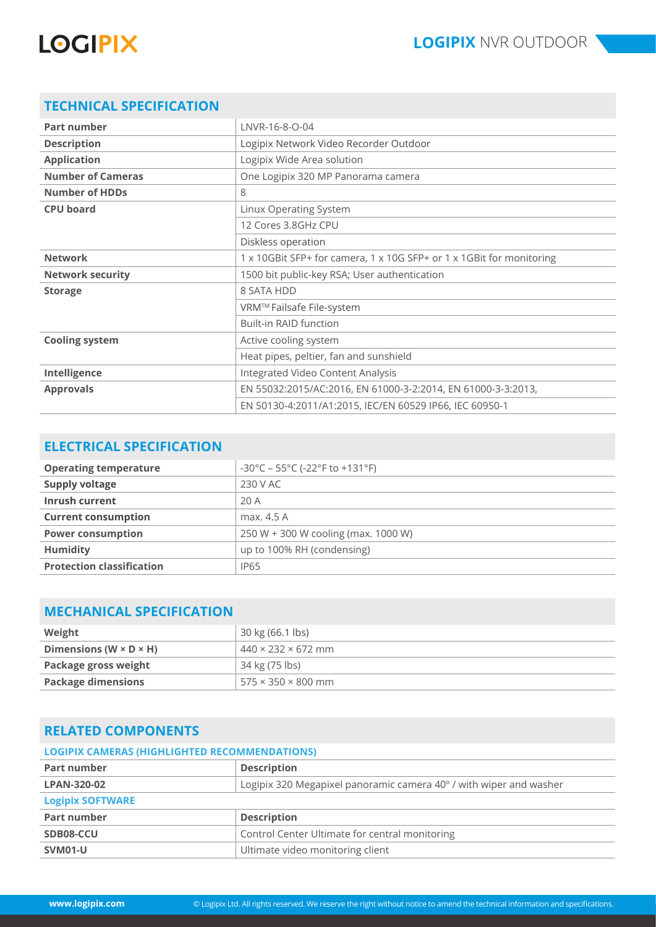# **LOGIPIX**

### **TECHNICAL SPECIFICATION**

| <b>Part number</b>       | LNVR-16-8-0-04                                                       |
|--------------------------|----------------------------------------------------------------------|
| <b>Description</b>       | Logipix Network Video Recorder Outdoor                               |
| <b>Application</b>       | Logipix Wide Area solution                                           |
| <b>Number of Cameras</b> | One Logipix 320 MP Panorama camera                                   |
| <b>Number of HDDs</b>    | 8                                                                    |
| <b>CPU board</b>         | Linux Operating System                                               |
|                          | 12 Cores 3.8GHz CPU                                                  |
|                          | Diskless operation                                                   |
| <b>Network</b>           | 1 x 10GBit SFP+ for camera, 1 x 10G SFP+ or 1 x 1GBit for monitoring |
| <b>Network security</b>  | 1500 bit public-key RSA; User authentication                         |
| <b>Storage</b>           | 8 SATA HDD                                                           |
|                          | VRM™ Failsafe File-system                                            |
|                          | <b>Built-in RAID function</b>                                        |
| <b>Cooling system</b>    | Active cooling system                                                |
|                          | Heat pipes, peltier, fan and sunshield                               |
| Intelligence             | Integrated Video Content Analysis                                    |
| <b>Approvals</b>         | EN 55032:2015/AC:2016, EN 61000-3-2:2014, EN 61000-3-3:2013,         |
|                          | EN 50130-4:2011/A1:2015, IEC/EN 60529 IP66, IEC 60950-1              |

#### **ELECTRICAL SPECIFICATION**

| <b>Operating temperature</b>     | $-30^{\circ}$ C – 55°C (-22°F to +131°F) |
|----------------------------------|------------------------------------------|
| <b>Supply voltage</b>            | 230 V AC                                 |
| Inrush current                   | 20A                                      |
| <b>Current consumption</b>       | max. 4.5 A                               |
| <b>Power consumption</b>         | 250 W + 300 W cooling (max. 1000 W)      |
| <b>Humidity</b>                  | up to 100% RH (condensing)               |
| <b>Protection classification</b> | <b>IP65</b>                              |

#### **MECHANICAL SPECIFICATION**

| Weight                               | 30 kg (66.1 lbs)               |
|--------------------------------------|--------------------------------|
| Dimensions (W $\times$ D $\times$ H) | $440 \times 232 \times 672$ mm |
| Package gross weight                 | 34 kg (75 lbs)                 |
| <b>Package dimensions</b>            | $575 \times 350 \times 800$ mm |

#### **RELATED COMPONENTS**

| <b>LOGIPIX CAMERAS (HIGHLIGHTED RECOMMENDATIONS)</b> |                                                                    |  |
|------------------------------------------------------|--------------------------------------------------------------------|--|
| <b>Part number</b>                                   | <b>Description</b>                                                 |  |
| <b>LPAN-320-02</b>                                   | Logipix 320 Megapixel panoramic camera 40° / with wiper and washer |  |
| <b>Logipix SOFTWARE</b>                              |                                                                    |  |
| <b>Part number</b>                                   | <b>Description</b>                                                 |  |
| SDB08-CCU                                            | Control Center Ultimate for central monitoring                     |  |
| SVM01-U                                              | Ultimate video monitoring client                                   |  |